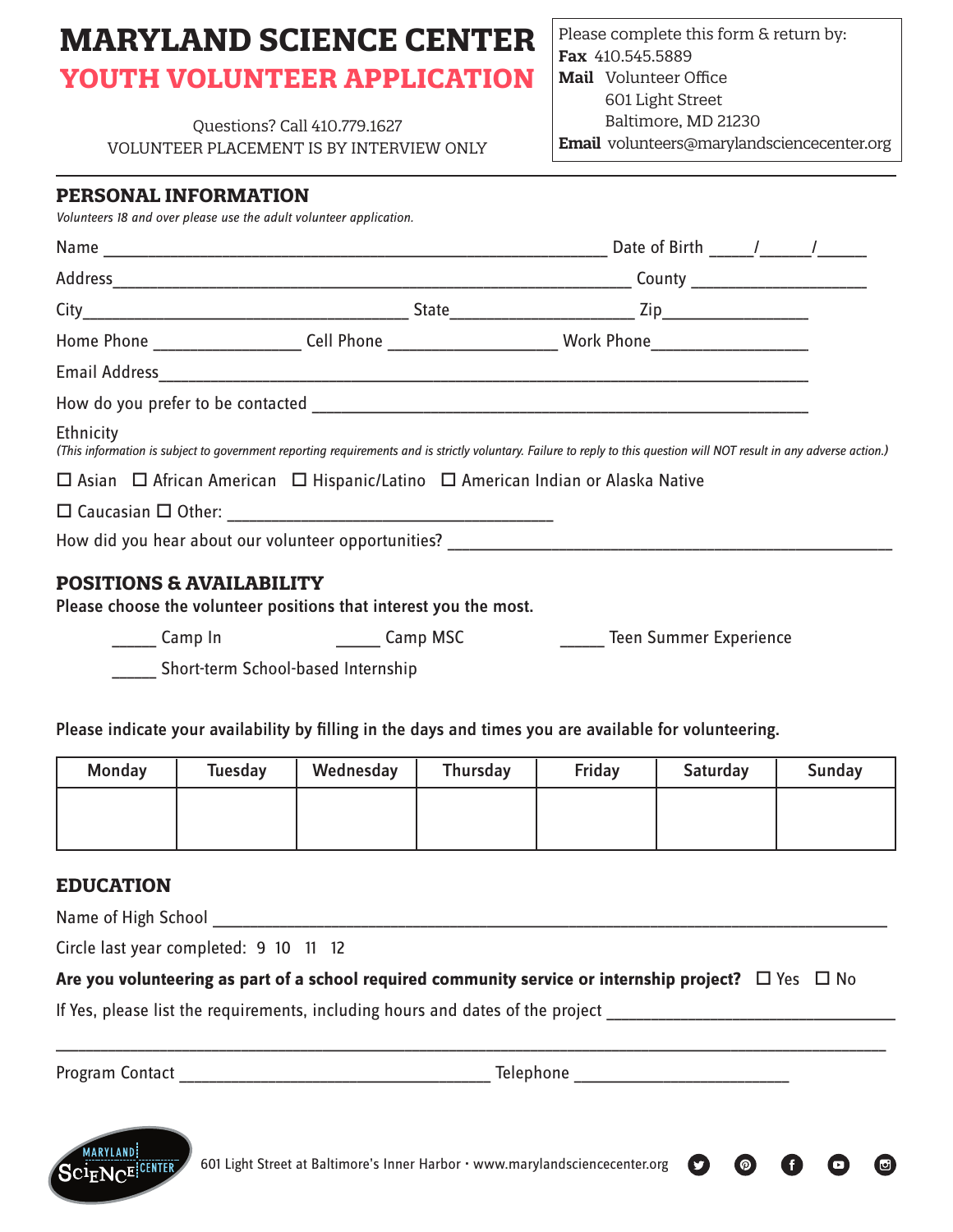# **MARYLAND SCIENCE CENTER YOUTH VOLUNTEER APPLICATION**

Questions? Call 410.779.1627 VOLUNTEER PLACEMENT IS BY INTERVIEW ONLY

### Please complete this form & return by: **Fax** 410.545.5889 **Mail** Volunteer Office 601 Light Street Baltimore, MD 21230 **Email** volunteers@marylandsciencecenter.org

#### **PERSONAL INFORMATION**

*Volunteers 18 and over please use the adult volunteer application.*

|                                     | Home Phone _________________________Cell Phone _____________________________Work Phone________________________                                                         |  |
|-------------------------------------|------------------------------------------------------------------------------------------------------------------------------------------------------------------------|--|
|                                     |                                                                                                                                                                        |  |
|                                     |                                                                                                                                                                        |  |
| Ethnicity                           | (This information is subject to government reporting requirements and is strictly voluntary. Failure to reply to this question will NOT result in any adverse action.) |  |
|                                     | $\Box$ Asian $\Box$ African American $\Box$ Hispanic/Latino $\Box$ American Indian or Alaska Native                                                                    |  |
|                                     |                                                                                                                                                                        |  |
|                                     | How did you hear about our volunteer opportunities?                                                                                                                    |  |
| <b>POSITIONS &amp; AVAILABILITY</b> |                                                                                                                                                                        |  |

Please choose the volunteer positions that interest you the most.

Loom Camp In Camp Camp MSC Camp MSC Compress Teen Summer Experience

 $\bigcirc$ 

\_\_\_\_\_\_ Short-term School-based Internship

Please indicate your availability by filling in the days and times you are available for volunteering.

| Monday | <b>Tuesday</b> | Wednesday | Thursday | Friday | Saturday | <b>Sunday</b> |
|--------|----------------|-----------|----------|--------|----------|---------------|
|        |                |           |          |        |          |               |
|        |                |           |          |        |          |               |

## **EDUCATION**

Name of High School

Circle last year completed: 9 10 11 12

**Are you volunteering as part of a school required community service or internship project?**  $\Box$  Yes  $\Box$  No

If Yes, please list the requirements, including hours and dates of the project

Program Contact \_\_\_\_\_\_\_\_\_\_\_\_\_\_\_\_\_\_\_\_\_\_\_\_\_\_\_\_\_\_\_\_\_\_\_\_\_\_\_\_\_\_ Telephone \_\_\_\_\_\_\_\_\_\_\_\_\_\_\_\_\_\_\_\_\_\_\_\_\_\_\_\_\_

\_\_\_\_\_\_\_\_\_\_\_\_\_\_\_\_\_\_\_\_\_\_\_\_\_\_\_\_\_\_\_\_\_\_\_\_\_\_\_\_\_\_\_\_\_\_\_\_\_\_\_\_\_\_\_\_\_\_\_\_\_\_\_\_\_\_\_\_\_\_\_\_\_\_\_\_\_\_\_\_\_\_\_\_\_\_\_\_\_\_\_\_\_\_\_\_\_\_\_\_\_\_\_\_\_\_\_\_\_\_\_\_

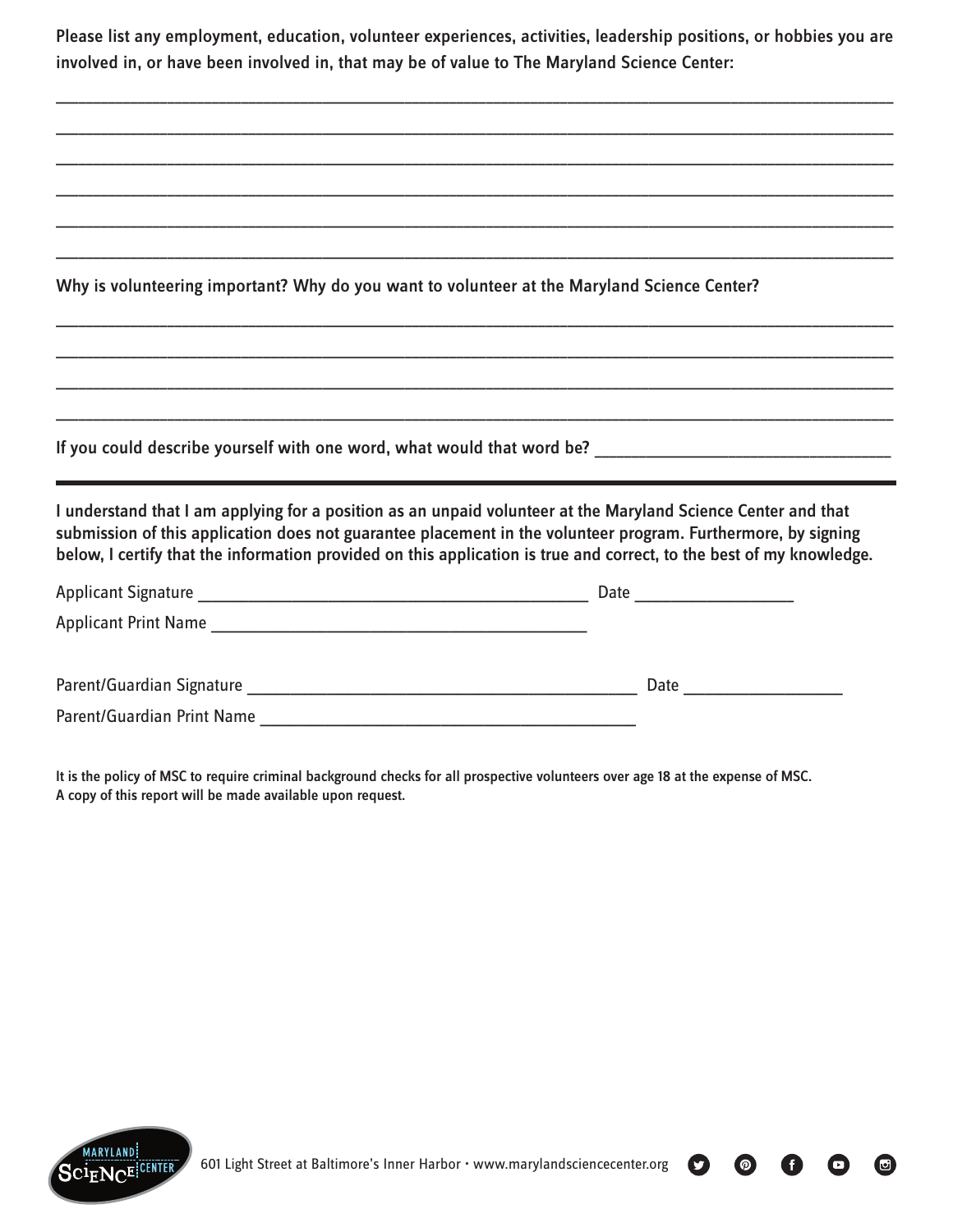Please list any employment, education, volunteer experiences, activities, leadership positions, or hobbies you are involved in, or have been involved in, that may be of value to The Maryland Science Center:

\_\_\_\_\_\_\_\_\_\_\_\_\_\_\_\_\_\_\_\_\_\_\_\_\_\_\_\_\_\_\_\_\_\_\_\_\_\_\_\_\_\_\_\_\_\_\_\_\_\_\_\_\_\_\_\_\_\_\_\_\_\_\_\_\_\_\_\_\_\_\_\_\_\_\_\_\_\_\_\_\_\_\_\_\_\_\_\_\_\_\_\_\_\_\_\_\_\_\_\_\_\_\_\_\_\_\_\_\_\_\_\_\_

| Why is volunteering important? Why do you want to volunteer at the Maryland Science Center?                                                                                                                                                                                                                                                            |  |
|--------------------------------------------------------------------------------------------------------------------------------------------------------------------------------------------------------------------------------------------------------------------------------------------------------------------------------------------------------|--|
|                                                                                                                                                                                                                                                                                                                                                        |  |
|                                                                                                                                                                                                                                                                                                                                                        |  |
| the contract of the contract of the contract of the contract of the contract of the contract of the contract of                                                                                                                                                                                                                                        |  |
|                                                                                                                                                                                                                                                                                                                                                        |  |
| I understand that I am applying for a position as an unpaid volunteer at the Maryland Science Center and that<br>submission of this application does not guarantee placement in the volunteer program. Furthermore, by signing<br>below, I certify that the information provided on this application is true and correct, to the best of my knowledge. |  |
|                                                                                                                                                                                                                                                                                                                                                        |  |
|                                                                                                                                                                                                                                                                                                                                                        |  |
|                                                                                                                                                                                                                                                                                                                                                        |  |
|                                                                                                                                                                                                                                                                                                                                                        |  |
|                                                                                                                                                                                                                                                                                                                                                        |  |

It is the policy of MSC to require criminal background checks for all prospective volunteers over age 18 at the expense of MSC. A copy of this report will be made available upon request.



601 Light Street at Baltimore's Inner Harbor • www.marylandsciencecenter.org

 $\bigcirc$ 

 $\bullet$ 

 $\bullet$ 

 $\odot$ 

O